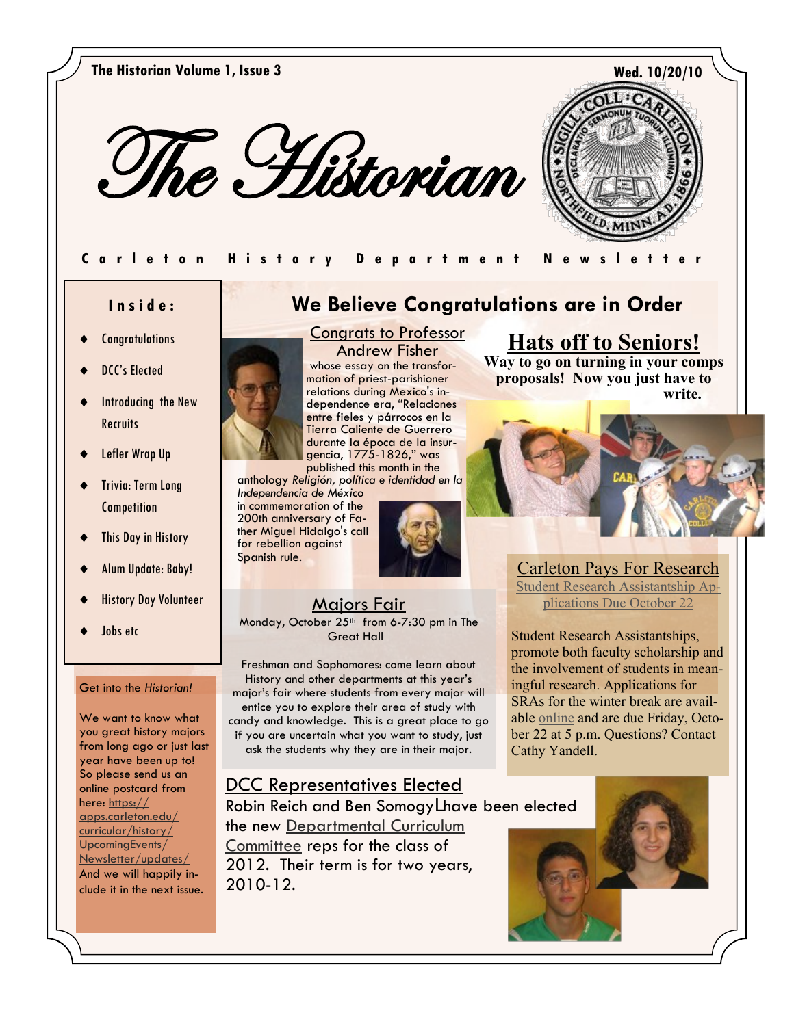



### **Carleton History Department Newslett**

### **I n s i d e :**

- **Congratulations**
- DCC's Elected
- Introducing the New **Recruits**
- Lefler Wrap Up
- Trivia: Term Long **Competition**
- This Day in History
- Alum Update: Baby!
- History Day Volunteer
- Jobs etc

### Get into the *Historian!*

We want to know what you great history majors from long ago or just last year have been up to! So please send us an online postcard from here: [https://](https://apps.carleton.edu/curricular/history/UpcomingEvents/Newsletter/updates/) [apps.carleton.edu/](https://apps.carleton.edu/curricular/history/UpcomingEvents/Newsletter/updates/) [curricular/history/](https://apps.carleton.edu/curricular/history/UpcomingEvents/Newsletter/updates/) [UpcomingEvents/](https://apps.carleton.edu/curricular/history/UpcomingEvents/Newsletter/updates/) [Newsletter/updates/](https://apps.carleton.edu/curricular/history/UpcomingEvents/Newsletter/updates/) And we will happily include it in the next issue.

# **We Believe Congratulations are in Order**



Andrew Fisher whose essay on the transformation of priest-parishioner relations during Mexico's independence era, "Relaciones entre fieles y párrocos en la Tierra Caliente de Guerrero durante la época de la insurgencia, 1775-1826," was published this month in the

Congrats to Professor

anthology *Religión, política e identidad en la Independencia de México*

in commemoration of the 200th anniversary of Father Miguel Hidalgo's call for rebellion against Spanish rule.



# Majors Fair

Monday, October 25<sup>th</sup> from 6-7:30 pm in The Great Hall

Freshman and Sophomores: come learn about History and other departments at this year"s major"s fair where students from every major will entice you to explore their area of study with candy and knowledge. This is a great place to go if you are uncertain what you want to study, just ask the students why they are in their major.

### DCC Representatives Elected

Robin Reich and Ben Somogy] have been elected the new [Departmental Curriculum](https://apps.carleton.edu/curricular/history/major/dcc/)  [Committee r](https://apps.carleton.edu/curricular/history/major/dcc/)eps for the class of 2012. Their term is for two years, 2010-12.

# **Hats off to Seniors!**

**Way to go on turning in your comps proposals! Now you just have to write.** 



Carleton Pays For Research [Student Research Assistantship Ap](http://apps.carleton.edu/campus/weekly/?story_id=676018&issue_id=653384)[plications Due October 22](http://apps.carleton.edu/campus/weekly/?story_id=676018&issue_id=653384) 

Student Research Assistantships, promote both faculty scholarship and the involvement of students in meaningful research. Applications for SRAs for the winter break are available [online a](http://apps.carleton.edu/humanities/student_research/application/)nd are due Friday, October 22 at 5 p.m. Questions? Contact Cathy Yandell.

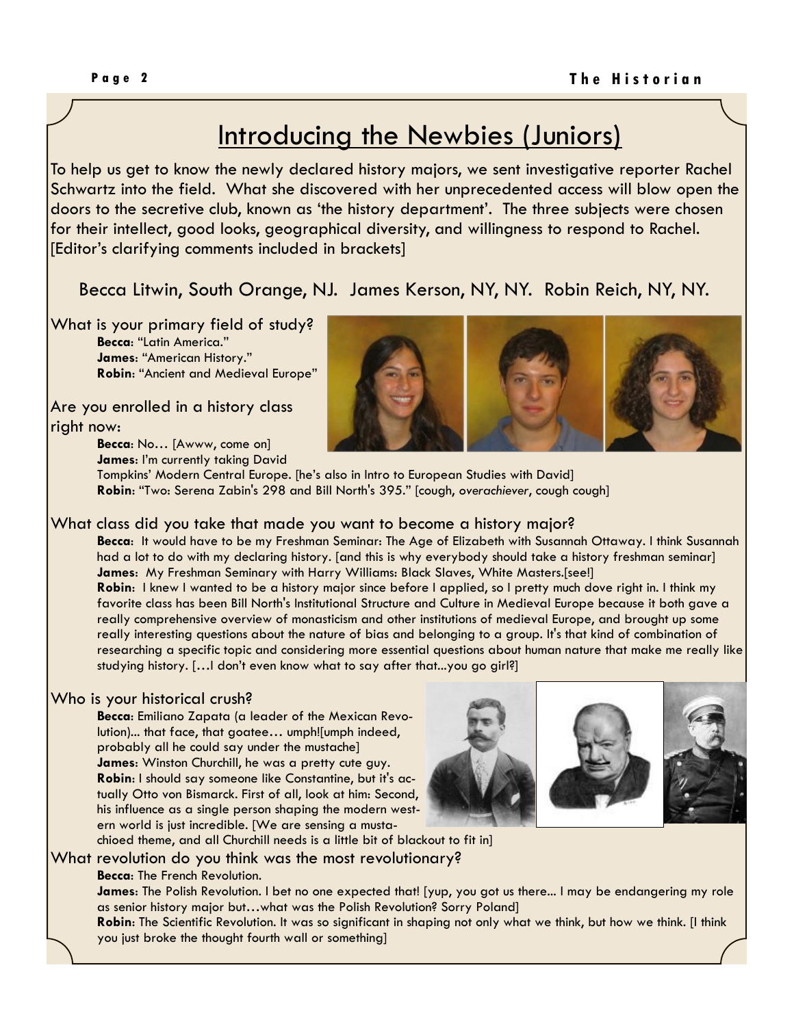# Introducing the Newbies (Juniors)

To help us get to know the newly declared history majors, we sent investigative reporter Rachel Schwartz into the field. What she discovered with her unprecedented access will blow open the doors to the secretive club, known as "the history department". The three subjects were chosen for their intellect, good looks, geographical diversity, and willingness to respond to Rachel. [Editor"s clarifying comments included in brackets]

Becca Litwin, South Orange, NJ. James Kerson, NY, NY. Robin Reich, NY, NY.

What is your primary field of study? **Becca**: "Latin America." **James**: "American History." **Robin**: "Ancient and Medieval Europe"

Are you enrolled in a history class right now:

> **Becca**: No… [Awww, come on] **James: I'm currently taking David**



Tompkins" Modern Central Europe. [he"s also in Intro to European Studies with David] **Robin**: "Two: Serena Zabin's 298 and Bill North's 395." [cough, *overachiever*, cough cough]

### What class did you take that made you want to become a history major?

**Becca**: It would have to be my Freshman Seminar: The Age of Elizabeth with Susannah Ottaway. I think Susannah had a lot to do with my declaring history. [and this is why everybody should take a history freshman seminar] **James**: My Freshman Seminary with Harry Williams: Black Slaves, White Masters.[see!] **Robin**: I knew I wanted to be a history major since before I applied, so I pretty much dove right in. I think my favorite class has been Bill North's Institutional Structure and Culture in Medieval Europe because it both gave a really comprehensive overview of monasticism and other institutions of medieval Europe, and brought up some really interesting questions about the nature of bias and belonging to a group. It's that kind of combination of researching a specific topic and considering more essential questions about human nature that make me really like studying history. [...] don't even know what to say after that...you go girl?]

### Who is your historical crush?

**Becca**: Emiliano Zapata (a leader of the Mexican Revolution)... that face, that goatee… umph![umph indeed, probably all he could say under the mustache] **James**: Winston Churchill, he was a pretty cute guy. **Robin**: I should say someone like Constantine, but it's actually Otto von Bismarck. First of all, look at him: Second, his influence as a single person shaping the modern western world is just incredible. [We are sensing a musta-



chioed theme, and all Churchill needs is a little bit of blackout to fit in]

What revolution do you think was the most revolutionary?

**Becca**: The French Revolution.

**James**: The Polish Revolution. I bet no one expected that! [yup, you got us there... I may be endangering my role as senior history major but…what was the Polish Revolution? Sorry Poland]

**Robin**: The Scientific Revolution. It was so significant in shaping not only what we think, but how we think. [I think you just broke the thought fourth wall or something]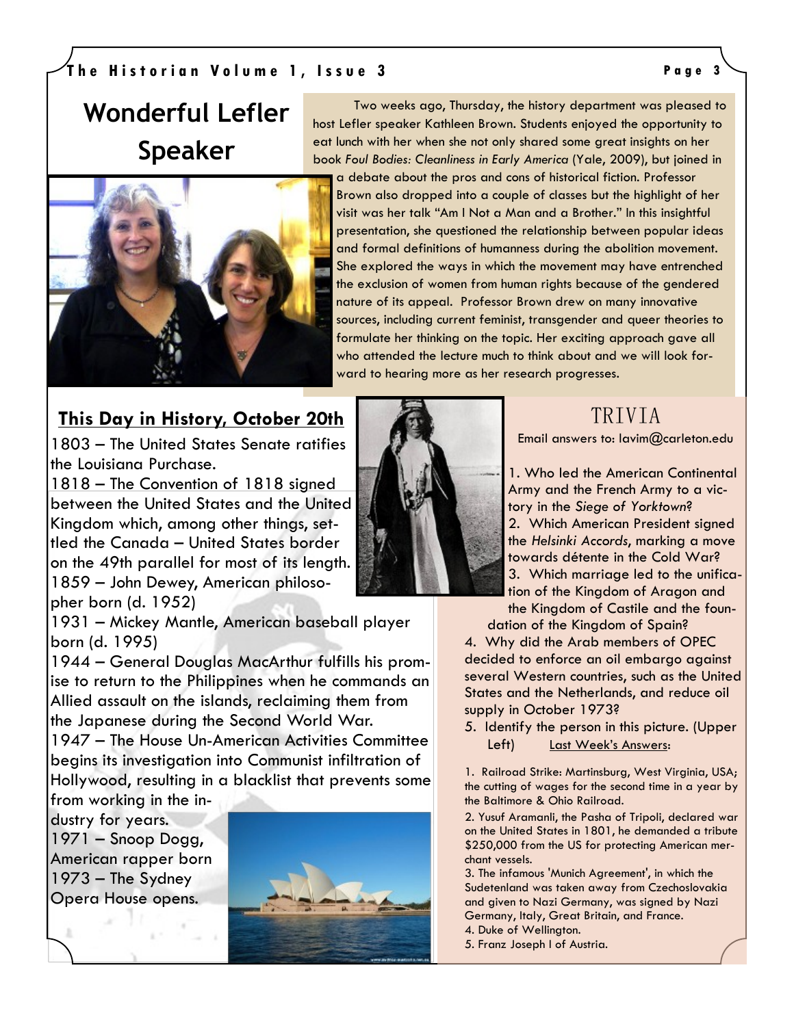### **T h e H i s t o r i a n V o l u m e 1 , I s s u e 3 P a g e 3**

# **Wonderful Lefler Speaker**



### Two weeks ago, Thursday, the history department was pleased to host Lefler speaker Kathleen Brown. Students enjoyed the opportunity to eat lunch with her when she not only shared some great insights on her book *Foul Bodies: Cleanliness in Early America* (Yale, 2009), but joined in

a debate about the pros and cons of historical fiction. Professor Brown also dropped into a couple of classes but the highlight of her visit was her talk "Am I Not a Man and a Brother." In this insightful presentation, she questioned the relationship between popular ideas and formal definitions of humanness during the abolition movement. She explored the ways in which the movement may have entrenched the exclusion of women from human rights because of the gendered nature of its appeal. Professor Brown drew on many innovative sources, including current feminist, transgender and queer theories to formulate her thinking on the topic. Her exciting approach gave all who attended the lecture much to think about and we will look forward to hearing more as her research progresses.

> TRIVIA Email answers to: lavim@carleton.edu

1. Who led the American Continental Army and the French Army to a victory in the *Siege of Yorktown*? 2. Which American President signed the *Helsinki Accords*, marking a move towards [détente](http://en.wikipedia.org/wiki/D%C3%A9tente) in the [Cold War?](http://en.wikipedia.org/wiki/Cold_War)  3. Which marriage led to the unification of the Kingdom of Aragon and the Kingdom of Castile and the foun-

dation of the Kingdom of Spain? 4. Why did the Arab members of OPEC decided to enforce an oil embargo against several Western countries, such as the United States and the Netherlands, and reduce oil supply in October 1973?

5. Identify the person in this picture. (Upper Left) Last Week's Answers:

1. Railroad Strike: Martinsburg, West Virginia, USA; the cutting of wages for the second time in a year by the Baltimore & Ohio Railroad.

2. Yusuf Aramanli, the Pasha of Tripoli, declared war on the United States in 1801, he demanded a tribute \$250,000 from the US for protecting American merchant vessels.

3. The infamous 'Munich Agreement', in which the Sudetenland was taken away from Czechoslovakia and given to Nazi Germany, was signed by Nazi Germany, Italy, Great Britain, and France.

- 4. Duke of Wellington.
- 5. Franz Joseph I of Austria.

## **This Day in History, October 20th**

[1803](http://en.wikipedia.org/wiki/1803) – The [United States Senate](http://en.wikipedia.org/wiki/United_States_Senate) ratifies the [Louisiana Purchase.](http://en.wikipedia.org/wiki/Louisiana_Purchase) 

[1818](http://en.wikipedia.org/wiki/1818) – [The Convention of 1818 s](http://en.wikipedia.org/wiki/Treaty_of_1818)igned between the United States and the United Kingdom which, among other things, settled the Canada – [United States border](http://en.wikipedia.org/wiki/Canada_%E2%80%93_United_States_border) on the [49th parallel f](http://en.wikipedia.org/wiki/49th_parallel_north)or most of its length. [1859](http://en.wikipedia.org/wiki/1859) – [John Dewey,](http://en.wikipedia.org/wiki/John_Dewey) American philosopher born (d. 1952)

[1931](http://en.wikipedia.org/wiki/1931) – [Mickey Mantle,](http://en.wikipedia.org/wiki/Mickey_Mantle) American baseball player born (d. 1995)

1944 – [General Douglas MacArthur](http://en.wikipedia.org/wiki/General_Douglas_MacArthur) fulfills his promise to return to the [Philippines w](http://en.wikipedia.org/wiki/Philippines)hen he commands an Allied assault on the islands, reclaiming them from the [Japanese d](http://en.wikipedia.org/wiki/Japan)uring the [Second World War.](http://en.wikipedia.org/wiki/Second_World_War) 

[1947](http://en.wikipedia.org/wiki/1947) – The [House Un-American Activities Committee](http://en.wikipedia.org/wiki/House_Un-American_Activities_Committee) begins its investigation into [Communist](http://en.wikipedia.org/wiki/Communism) infiltration of [Hollywood,](http://en.wikipedia.org/wiki/Hollywood) resulting in a blacklist that prevents some

from working in the industry for years. 1971 – [Snoop Dogg,](http://en.wikipedia.org/wiki/Snoop_Dogg) American rapper born 1973 – The [Sydney](http://en.wikipedia.org/wiki/Sydney_Opera_House)  [Opera House o](http://en.wikipedia.org/wiki/Sydney_Opera_House)pens.